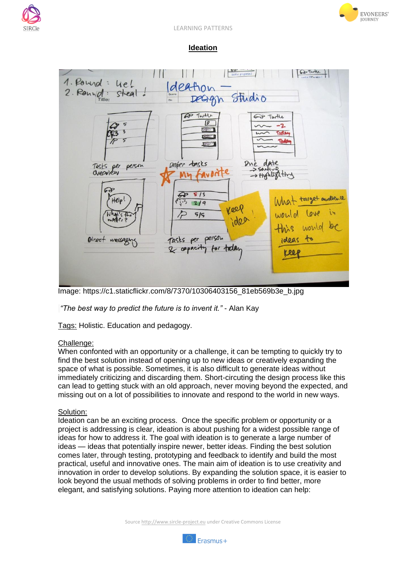





## **Ideation**



Image: https://c1.staticflickr.com/8/7370/10306403156\_81eb569b3e\_b.jpg

*"The best way to predict the future is to invent it."* - Alan Kay

Tags: Holistic. Education and pedagogy.

## Challenge:

When confonted with an opportunity or a challenge, it can be tempting to quickly try to find the best solution instead of opening up to new ideas or creatively expanding the space of what is possible. Sometimes, it is also difficult to generate ideas without immediately criticizing and discarding them. Short-circuting the design process like this can lead to getting stuck with an old approach, never moving beyond the expected, and missing out on a lot of possibilities to innovate and respond to the world in new ways.

## Solution:

Ideation can be an exciting process. Once the specific problem or opportunity or a project is addressing is clear, ideation is about pushing for a widest possible range of ideas for how to address it. The goal with ideation is to generate a large number of ideas — ideas that potentially inspire newer, better ideas. Finding the best solution comes later, through testing, prototyping and feedback to identify and build the most practical, useful and innovative ones. The main aim of ideation is to use creativity and innovation in order to develop solutions. By expanding the solution space, it is easier to look beyond the usual methods of solving problems in order to find better, more elegant, and satisfying solutions. Paying more attention to ideation can help:

Source http://www.sircle-project.eu under Creative Commons License